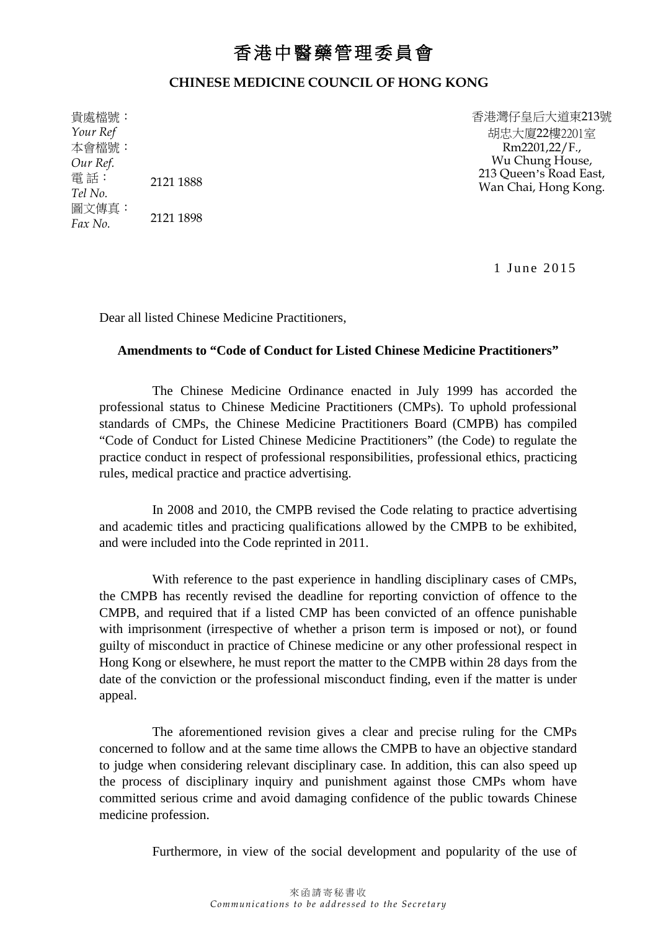## 香港中醫藥管理委員會

## **CHINESE MEDICINE COUNCIL OF HONG KONG**

貴處檔號: *Your Ref* 本會檔號: *Our Ref.* 電話: *Tel No.* 2121 1888 圖文傳真:  $Fax No.$  2121 1898 香港灣仔皇后大道東213號 胡忠大廈22樓2201室 Rm2201,22/F., Wu Chung House, 213 Queen's Road East, Wan Chai, Hong Kong.

1 June 2015

Dear all listed Chinese Medicine Practitioners,

## **Amendments to "Code of Conduct for Listed Chinese Medicine Practitioners"**

The Chinese Medicine Ordinance enacted in July 1999 has accorded the professional status to Chinese Medicine Practitioners (CMPs). To uphold professional standards of CMPs, the Chinese Medicine Practitioners Board (CMPB) has compiled "Code of Conduct for Listed Chinese Medicine Practitioners" (the Code) to regulate the practice conduct in respect of professional responsibilities, professional ethics, practicing rules, medical practice and practice advertising.

In 2008 and 2010, the CMPB revised the Code relating to practice advertising and academic titles and practicing qualifications allowed by the CMPB to be exhibited, and were included into the Code reprinted in 2011.

With reference to the past experience in handling disciplinary cases of CMPs, the CMPB has recently revised the deadline for reporting conviction of offence to the CMPB, and required that if a listed CMP has been convicted of an offence punishable with imprisonment (irrespective of whether a prison term is imposed or not), or found guilty of misconduct in practice of Chinese medicine or any other professional respect in Hong Kong or elsewhere, he must report the matter to the CMPB within 28 days from the date of the conviction or the professional misconduct finding, even if the matter is under appeal.

The aforementioned revision gives a clear and precise ruling for the CMPs concerned to follow and at the same time allows the CMPB to have an objective standard to judge when considering relevant disciplinary case. In addition, this can also speed up the process of disciplinary inquiry and punishment against those CMPs whom have committed serious crime and avoid damaging confidence of the public towards Chinese medicine profession.

Furthermore, in view of the social development and popularity of the use of